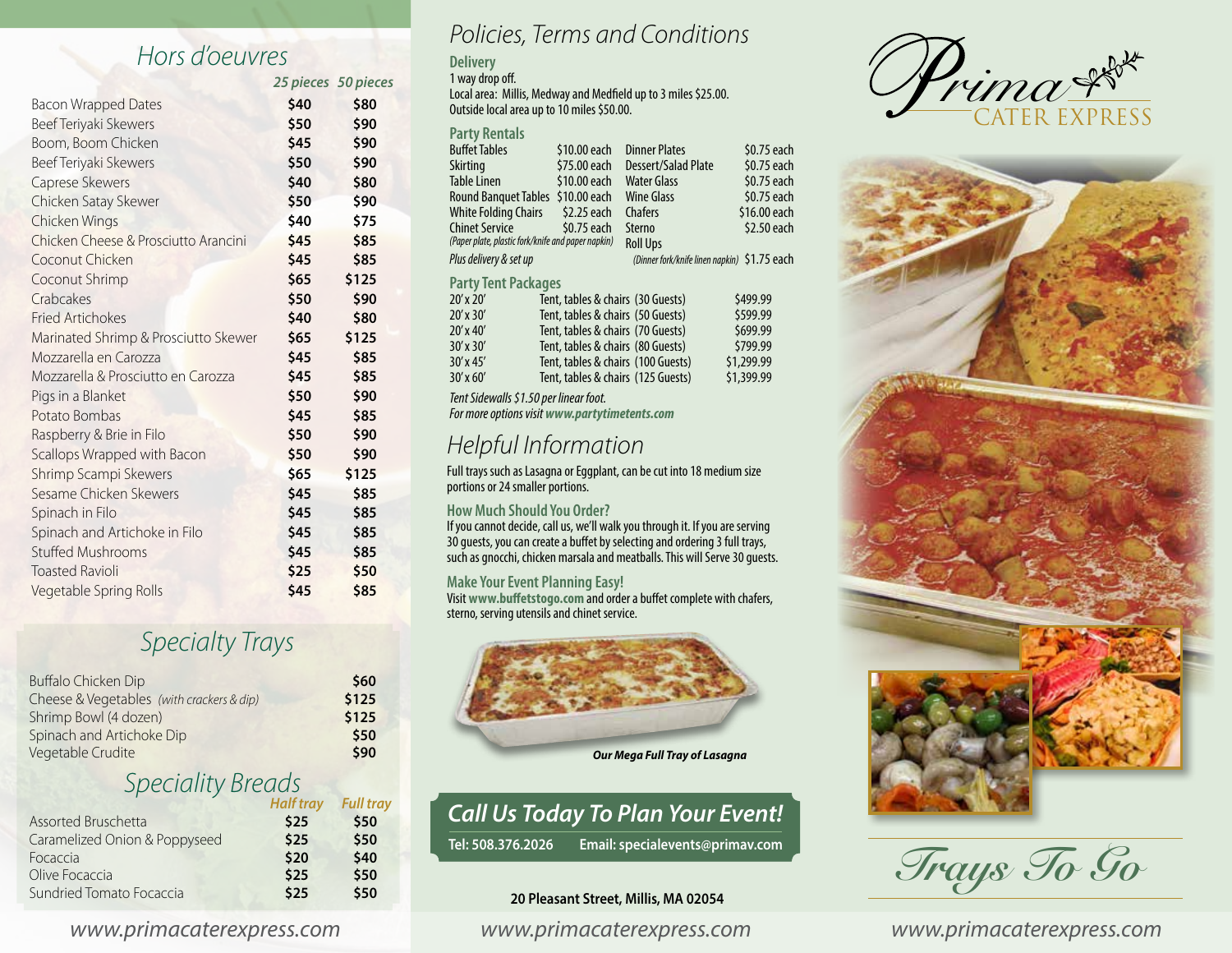## *Hors d'oeuvres*

|                                      | 25 pieces 50 pieces |       |
|--------------------------------------|---------------------|-------|
| <b>Bacon Wrapped Dates</b>           | \$40                | \$80  |
| Beef Teriyaki Skewers                | \$50                | \$90  |
| Boom, Boom Chicken                   | \$45                | \$90  |
| Beef Teriyaki Skewers                | \$50                | \$90  |
| Caprese Skewers                      | \$40                | \$80  |
| Chicken Satay Skewer                 | \$50                | \$90  |
| Chicken Wings                        | \$40                | \$75  |
| Chicken Cheese & Prosciutto Arancini | \$45                | \$85  |
| Coconut Chicken                      | \$45                | \$85  |
| Coconut Shrimp                       | \$65                | \$125 |
| Crabcakes                            | \$50                | \$90  |
| <b>Fried Artichokes</b>              | \$40                | \$80  |
| Marinated Shrimp & Prosciutto Skewer | \$65                | \$125 |
| Mozzarella en Carozza                | \$45                | \$85  |
| Mozzarella & Prosciutto en Carozza   | \$45                | \$85  |
| Pigs in a Blanket                    | \$50                | \$90  |
| Potato Bombas                        | \$45                | \$85  |
| Raspberry & Brie in Filo             | \$50                | \$90  |
| Scallops Wrapped with Bacon          | \$50                | \$90  |
| Shrimp Scampi Skewers                | \$65                | \$125 |
| Sesame Chicken Skewers               | \$45                | \$85  |
| Spinach in Filo                      | \$45                | \$85  |
| Spinach and Artichoke in Filo        | \$45                | \$85  |
| <b>Stuffed Mushrooms</b>             | \$45                | \$85  |
| <b>Toasted Ravioli</b>               | \$25                | \$50  |
| Vegetable Spring Rolls               | \$45                | \$85  |

## *Specialty Trays*

| Buffalo Chicken Dip                       | \$60  |
|-------------------------------------------|-------|
| Cheese & Vegetables (with crackers & dip) | \$125 |
| Shrimp Bowl (4 dozen)                     | \$125 |
| Spinach and Artichoke Dip                 | \$50  |
| Vegetable Crudite                         | \$90  |

## *Speciality Breads Half tray Full tray*

|      | \$50 |
|------|------|
| \$25 | \$50 |
| \$20 | \$40 |
| \$25 | \$50 |
| \$25 | \$50 |
|      | \$25 |

#### *Policies, Terms and Conditions*

#### **Delivery**

1 way drop off.

Local area: Millis, Medway and Medfield up to 3 miles \$25.00. Outside local area up to 10 miles \$50.00.

#### **Party Rentals**

| <b>Buffet Tables</b>                               | \$10.00 each                                  | <b>Dinner Plates</b>                         | \$0.75 each  |  |  |  |
|----------------------------------------------------|-----------------------------------------------|----------------------------------------------|--------------|--|--|--|
| Skirting                                           | \$75.00 each                                  | Dessert/Salad Plate                          | \$0.75 each  |  |  |  |
| <b>Table Linen</b>                                 | \$10.00 each                                  | <b>Water Glass</b>                           | \$0.75 each  |  |  |  |
| <b>Round Banguet Tables</b>                        | \$10.00 each                                  | <b>Wine Glass</b>                            | \$0.75 each  |  |  |  |
| <b>White Folding Chairs</b>                        | \$2.25 each                                   | Chafers                                      | \$16.00 each |  |  |  |
| <b>Chinet Service</b>                              | \$0.75 each                                   | Sterno                                       | \$2.50 each  |  |  |  |
| (Paper plate, plastic fork/knife and paper napkin) |                                               | <b>Roll Ups</b>                              |              |  |  |  |
| Plus delivery & set up                             |                                               | (Dinner fork/knife linen napkin) \$1.75 each |              |  |  |  |
| <b>Party Tent Packages</b>                         |                                               |                                              |              |  |  |  |
| $20'$ x $20'$                                      |                                               | Tent, tables & chairs (30 Guests)            | \$499.99     |  |  |  |
| $20'$ x $30'$                                      |                                               | Tent, tables & chairs (50 Guests)            | \$599.99     |  |  |  |
| $20'$ x 40'                                        |                                               | Tent, tables & chairs (70 Guests)            | \$699.99     |  |  |  |
| $30'$ x $30'$                                      |                                               | Tent, tables & chairs (80 Guests)            | \$799.99     |  |  |  |
| $30'$ x 45'                                        |                                               | Tent, tables & chairs (100 Guests)           | \$1,299.99   |  |  |  |
| $30'$ x 60'                                        |                                               | Tent, tables & chairs (125 Guests)           | \$1,399.99   |  |  |  |
| Tent Sidewalls \$1.50 per linear foot.             |                                               |                                              |              |  |  |  |
|                                                    | For more options visit www.partytimetents.com |                                              |              |  |  |  |

#### *Helpful Information*

Full trays such as Lasagna or Eggplant, can be cut into 18 medium size portions or 24 smaller portions.

#### **How Much Should You Order?**

If you cannot decide, call us, we'll walk you through it. If you are serving 30 guests, you can create a buffet by selecting and ordering 3 full trays, such as gnocchi, chicken marsala and meatballs. This will Serve 30 guests.

#### **Make Your Event Planning Easy!**

Visit **www.buffetstogo.com**and order a buffet complete with chafers, sterno, serving utensils and chinet service.



## *Call Us Today To Plan Your Event!*

**Tel: 508.376.2026 Email: specialevents@primav.com**

#### **20 Pleasant Street, Millis, MA 02054**





*Trays To Go*

*www.primacaterexpress.com www.primacaterexpress.com www.primacaterexpress.com*